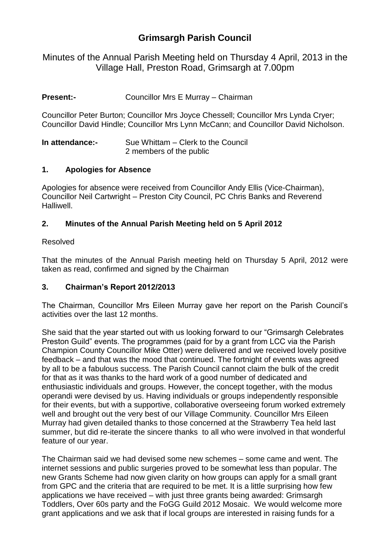# **Grimsargh Parish Council**

Minutes of the Annual Parish Meeting held on Thursday 4 April, 2013 in the Village Hall, Preston Road, Grimsargh at 7.00pm

**Present:-** Councillor Mrs E Murray – Chairman

Councillor Peter Burton; Councillor Mrs Joyce Chessell; Councillor Mrs Lynda Cryer; Councillor David Hindle; Councillor Mrs Lynn McCann; and Councillor David Nicholson.

**In attendance:-** Sue Whittam – Clerk to the Council 2 members of the public

#### **1. Apologies for Absence**

Apologies for absence were received from Councillor Andy Ellis (Vice-Chairman), Councillor Neil Cartwright – Preston City Council, PC Chris Banks and Reverend Halliwell.

### **2. Minutes of the Annual Parish Meeting held on 5 April 2012**

#### Resolved

That the minutes of the Annual Parish meeting held on Thursday 5 April, 2012 were taken as read, confirmed and signed by the Chairman

#### **3. Chairman's Report 2012/2013**

The Chairman, Councillor Mrs Eileen Murray gave her report on the Parish Council's activities over the last 12 months.

She said that the year started out with us looking forward to our "Grimsargh Celebrates Preston Guild" events. The programmes (paid for by a grant from LCC via the Parish Champion County Councillor Mike Otter) were delivered and we received lovely positive feedback – and that was the mood that continued. The fortnight of events was agreed by all to be a fabulous success. The Parish Council cannot claim the bulk of the credit for that as it was thanks to the hard work of a good number of dedicated and enthusiastic individuals and groups. However, the concept together, with the modus operandi were devised by us. Having individuals or groups independently responsible for their events, but with a supportive, collaborative overseeing forum worked extremely well and brought out the very best of our Village Community. Councillor Mrs Eileen Murray had given detailed thanks to those concerned at the Strawberry Tea held last summer, but did re-iterate the sincere thanks to all who were involved in that wonderful feature of our year.

The Chairman said we had devised some new schemes – some came and went. The internet sessions and public surgeries proved to be somewhat less than popular. The new Grants Scheme had now given clarity on how groups can apply for a small grant from GPC and the criteria that are required to be met. It is a little surprising how few applications we have received – with just three grants being awarded: Grimsargh Toddlers, Over 60s party and the FoGG Guild 2012 Mosaic. We would welcome more grant applications and we ask that if local groups are interested in raising funds for a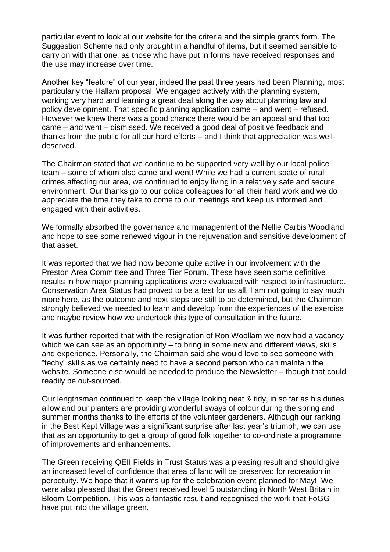particular event to look at our website for the criteria and the simple grants form. The Suggestion Scheme had only brought in a handful of items, but it seemed sensible to carry on with that one, as those who have put in forms have received responses and the use may increase over time.

Another key "feature" of our year, indeed the past three years had been Planning, most particularly the Hallam proposal. We engaged actively with the planning system, working very hard and learning a great deal along the way about planning law and policy development. That specific planning application came – and went – refused. However we knew there was a good chance there would be an appeal and that too came – and went – dismissed. We received a good deal of positive feedback and thanks from the public for all our hard efforts – and I think that appreciation was welldeserved.

The Chairman stated that we continue to be supported very well by our local police team – some of whom also came and went! While we had a current spate of rural crimes affecting our area, we continued to enjoy living in a relatively safe and secure environment. Our thanks go to our police colleagues for all their hard work and we do appreciate the time they take to come to our meetings and keep us informed and engaged with their activities.

We formally absorbed the governance and management of the Nellie Carbis Woodland and hope to see some renewed vigour in the rejuvenation and sensitive development of that asset.

It was reported that we had now become quite active in our involvement with the Preston Area Committee and Three Tier Forum. These have seen some definitive results in how major planning applications were evaluated with respect to infrastructure. Conservation Area Status had proved to be a test for us all. I am not going to say much more here, as the outcome and next steps are still to be determined, but the Chairman strongly believed we needed to learn and develop from the experiences of the exercise and maybe review how we undertook this type of consultation in the future.

It was further reported that with the resignation of Ron Woollam we now had a vacancy which we can see as an opportunity – to bring in some new and different views, skills and experience. Personally, the Chairman said she would love to see someone with "techy" skills as we certainly need to have a second person who can maintain the website. Someone else would be needed to produce the Newsletter – though that could readily be out-sourced.

Our lengthsman continued to keep the village looking neat & tidy, in so far as his duties allow and our planters are providing wonderful sways of colour during the spring and summer months thanks to the efforts of the volunteer gardeners. Although our ranking in the Best Kept Village was a significant surprise after last year's triumph, we can use that as an opportunity to get a group of good folk together to co-ordinate a programme of improvements and enhancements.

The Green receiving QEII Fields in Trust Status was a pleasing result and should give an increased level of confidence that area of land will be preserved for recreation in perpetuity. We hope that it warms up for the celebration event planned for May! We were also pleased that the Green received level 5 outstanding in North West Britain in Bloom Competition. This was a fantastic result and recognised the work that FoGG have put into the village green.